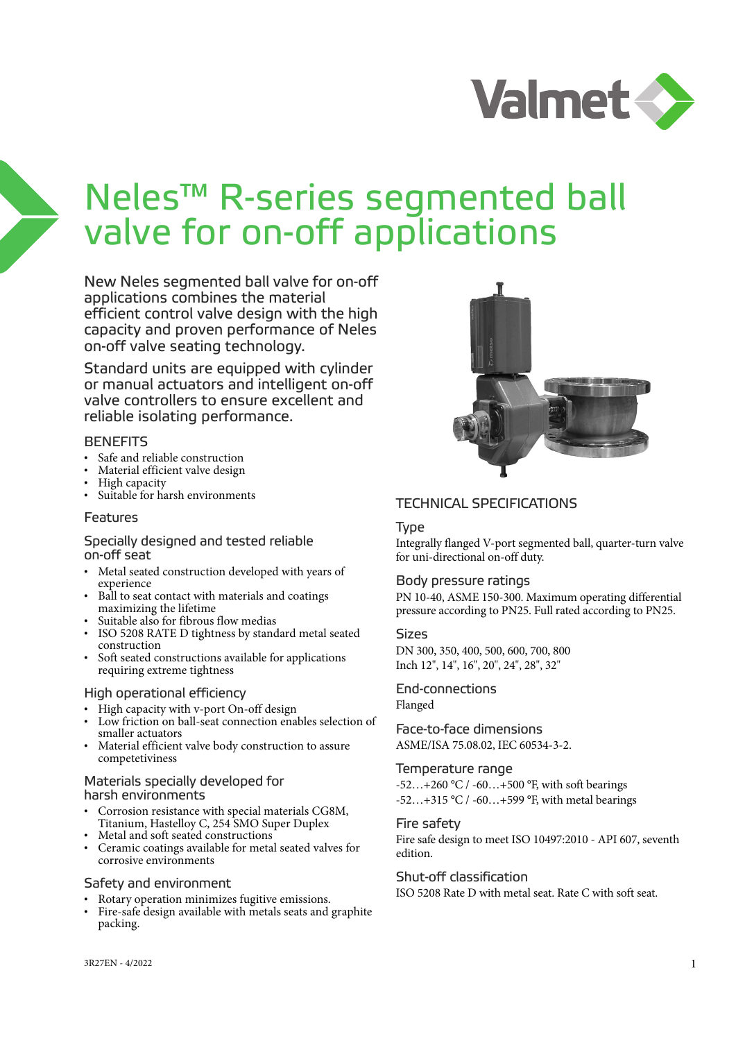

# Neles™ R-series segmented ball valve for on-off applications

New Neles segmented ball valve for on-off applications combines the material efficient control valve design with the high capacity and proven performance of Neles on-off valve seating technology.

Standard units are equipped with cylinder or manual actuators and intelligent on-off valve controllers to ensure excellent and reliable isolating performance.

# **BENEFITS**

- Safe and reliable construction
- Material efficient valve design
- High capacity
- Suitable for harsh environments

#### Features

#### Specially designed and tested reliable on-off seat

- Metal seated construction developed with years of experience
- Ball to seat contact with materials and coatings maximizing the lifetime
- Suitable also for fibrous flow medias
- ISO 5208 RATE D tightness by standard metal seated construction
- Soft seated constructions available for applications requiring extreme tightness

# High operational efficiency

- High capacity with v-port On-off design
- Low friction on ball-seat connection enables selection of smaller actuators
- Material efficient valve body construction to assure competetiviness

#### Materials specially developed for harsh environments

- Corrosion resistance with special materials CG8M, Titanium, Hastelloy C, 254 SMO Super Duplex
- Metal and soft seated constructions
- Ceramic coatings available for metal seated valves for corrosive environments

# Safety and environment

- Rotary operation minimizes fugitive emissions.
- Fire-safe design available with metals seats and graphite packing.



# TECHNICAL SPECIFICATIONS

#### Type

Integrally flanged V-port segmented ball, quarter-turn valve for uni-directional on-off duty.

# Body pressure ratings

PN 10-40, ASME 150-300. Maximum operating differential pressure according to PN25. Full rated according to PN25.

#### Sizes

DN 300, 350, 400, 500, 600, 700, 800 Inch 12", 14", 16", 20", 24", 28", 32"

#### End-connections Flanged

Face-to-face dimensions

ASME/ISA 75.08.02, IEC 60534-3-2.

#### Temperature range

-52...+260 °C / -60...+500 °F, with soft bearings  $-52...+315$  °C /  $-60...+599$  °F, with metal bearings

# Fire safety

Fire safe design to meet ISO 10497:2010 - API 607, seventh edition.

# Shut-off classification

ISO 5208 Rate D with metal seat. Rate C with soft seat.